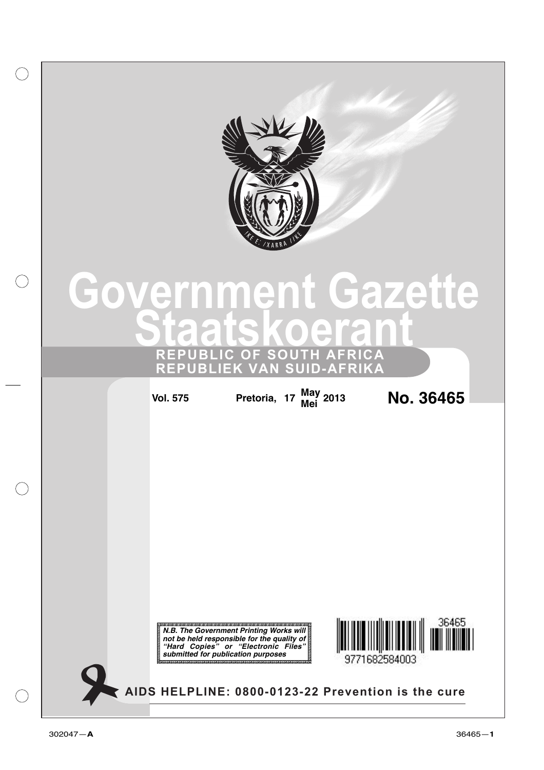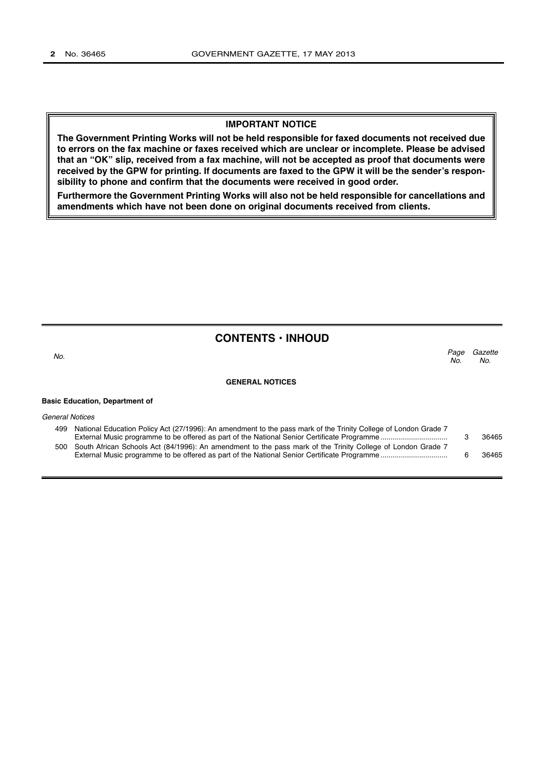#### **IMPORTANT NOTICE**

**The Government Printing Works will not be held responsible for faxed documents not received due to errors on the fax machine or faxes received which are unclear or incomplete. Please be advised that an "OK" slip, received from a fax machine, will not be accepted as proof that documents were received by the GPW for printing. If documents are faxed to the GPW it will be the sender's responsibility to phone and confirm that the documents were received in good order.**

**Furthermore the Government Printing Works will also not be held responsible for cancellations and amendments which have not been done on original documents received from clients.**

## **CONTENTS • INHOUD**

| No.                    |                                                                                                                 | Page<br>No. | Gazette<br>No. |
|------------------------|-----------------------------------------------------------------------------------------------------------------|-------------|----------------|
|                        | <b>GENERAL NOTICES</b>                                                                                          |             |                |
|                        | <b>Basic Education, Department of</b>                                                                           |             |                |
| <b>General Notices</b> |                                                                                                                 |             |                |
| 499                    | National Education Policy Act (27/1996): An amendment to the pass mark of the Trinity College of London Grade 7 |             | 36465          |
|                        | 500 South African Schools Act (84/1996): An amendment to the pass mark of the Trinity College of London Grade 7 |             |                |

External Music programme to be offered as part of the National Senior Certificate Programme ................................. 6 36465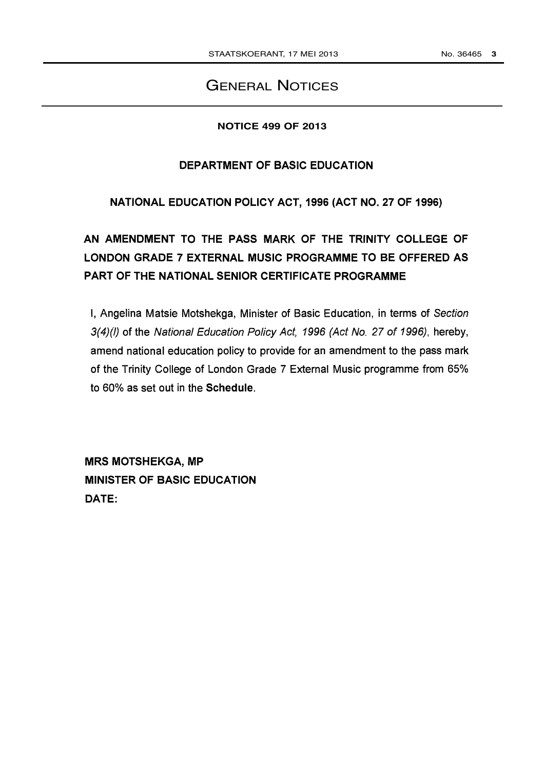# GENERAL NOTICES

## **NOTICE 499 OF 2013**

## DEPARTMENT OF BASIC EDUCATION

NATIONAL EDUCATION POLICY ACT, 1996 (ACT NO. 27 OF 1996)

AN AMENDMENT TO THE PASS MARK OF THE TRINITY COLLEGE OF LONDON GRADE 7 EXTERNAL MUSIC PROGRAMME TO BE OFFERED AS PART OF THE NATIONAL SENIOR CERTIFICATE PROGRAMME

I, Angelina Matsie Motshekga, Minister of Basic Education, in terms of Section 3(4)(1) of the National Education Policy Act, 1996 (Act No. 27 of 1996), hereby, amend national education policy to provide for an amendment to the pass mark of the Trinity College of London Grade 7 External Music programme from 65% to 60% as set out in the Schedule.

MRS MOTSHEKGA, MP MINISTER OF BASIC EDUCATION DATE: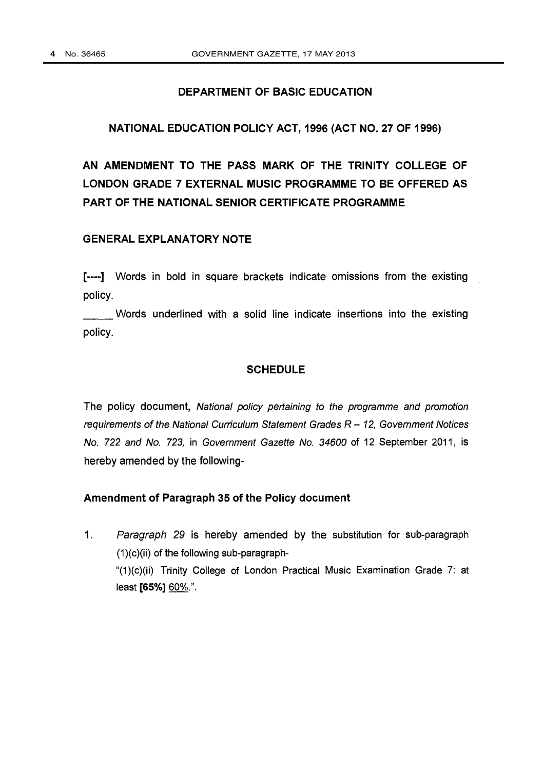## DEPARTMENT OF BASIC EDUCATION

## NATIONAL EDUCATION POLICY ACT, 1996 (ACT NO. 27 OF 1996)

AN AMENDMENT TO THE PASS MARK OF THE TRINITY COLLEGE OF LONDON GRADE 7 EXTERNAL MUSIC PROGRAMME TO BE OFFERED AS PART OF THE NATIONAL SENIOR CERTIFICATE PROGRAMME

## GENERAL EXPLANATORY NOTE

[----] Words in bold in square brackets indicate omissions from the existing policy.

policy. Words underlined with a solid line indicate insertions into the existing

### **SCHEDULE**

The policy document, National policy pertaining to the programme and promotion requirements of the National Curriculum Statement Grades  $R - 12$ , Government Notices No. 722 and No. 723, in Government Gazette No. 34600 of 12 September 2011, is hereby amended by the following-

## Amendment of Paragraph 35 of the Policy document

1. Paragraph 29 is hereby amended by the substitution for sub-paragraph (1)(c)(ii) of the following sub-paragraph- "(1)(c)(ii) Trinity College of London Practical Music Examination Grade 7: at least [65%] 60%.".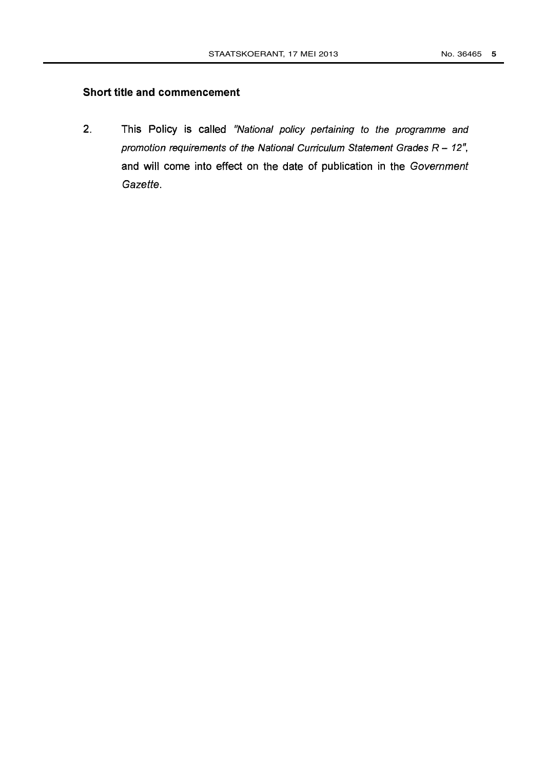## Short title and commencement

2. This Policy is called "National policy pertaining to the programme and promotion requirements of the National Curriculum Statement Grades  $R - 12$ ", and will come into effect on the date of publication in the Government Gazette.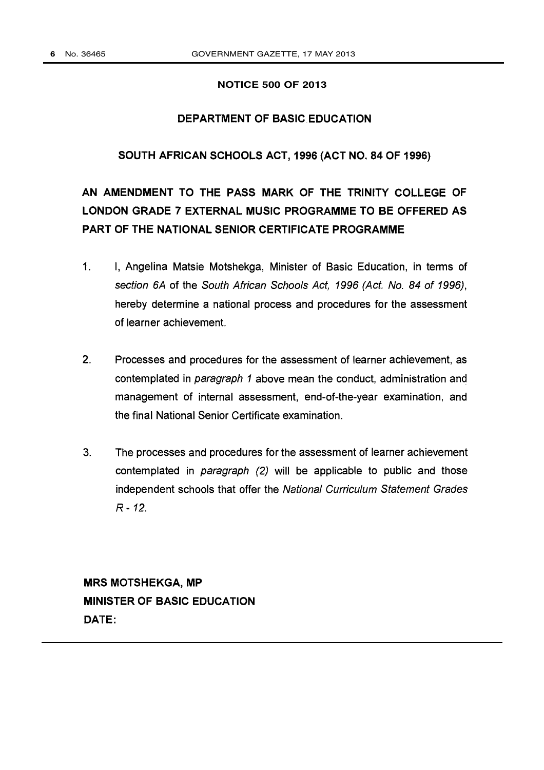#### **NOTICE 500 OF 2013**

## DEPARTMENT OF BASIC EDUCATION

## SOUTH AFRICAN SCHOOLS ACT, 1996 (ACT NO. 84 OF 1996)

# AN AMENDMENT TO THE PASS MARK OF THE TRINITY COLLEGE OF LONDON GRADE 7 EXTERNAL MUSIC PROGRAMME TO BE OFFERED AS PART OF THE NATIONAL SENIOR CERTIFICATE PROGRAMME

- $1<sub>1</sub>$ I, Angelina Matsie Motshekga, Minister of Basic Education, in terms of section 6A of the South African Schools Act, 1996 (Act. No. 84 of 1996), hereby determine a national process and procedures for the assessment of learner achievement.
- 2. Processes and procedures for the assessment of learner achievement, as contemplated in paragraph 1 above mean the conduct, administration and management of internal assessment, end-of-the-year examination, and the final National Senior Certificate examination.
- 3. The processes and procedures for the assessment of learner achievement contemplated in paragraph (2) will be applicable to public and those independent schools that offer the National Curriculum Statement Grades R - 12.

MRS MOTSHEKGA, MP MINISTER OF BASIC EDUCATION DATE: